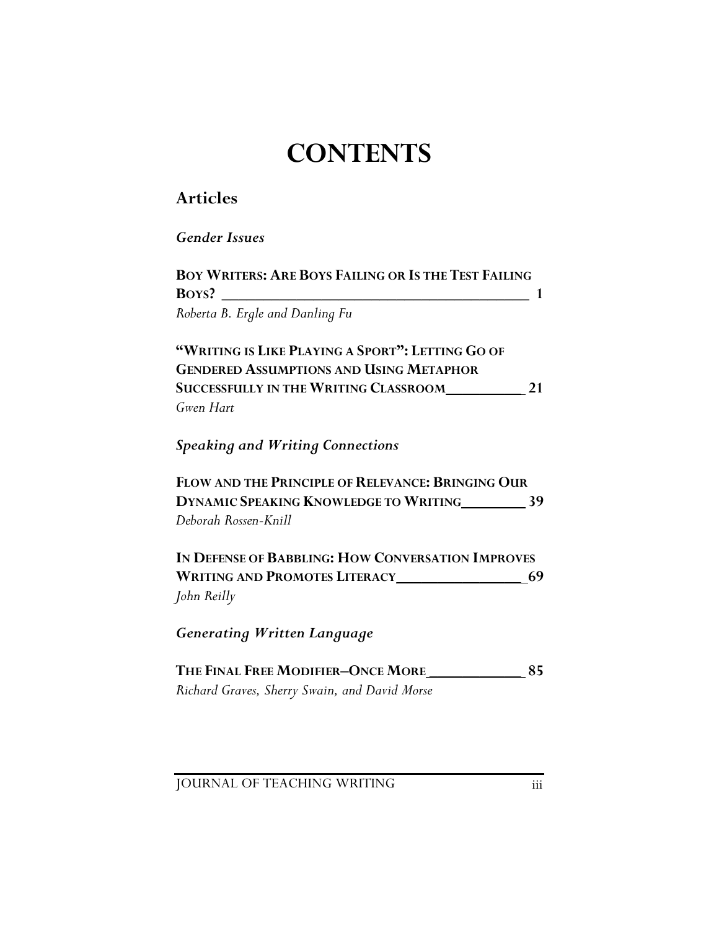## **CONTENTS**

## **Articles**

*Gender Issues* 

| <b>BOY WRITERS: ARE BOYS FAILING OR IS THE TEST FAILING</b> |  |  |  |  |  |  |
|-------------------------------------------------------------|--|--|--|--|--|--|
| BOYS?                                                       |  |  |  |  |  |  |
| Roberta B. Ergle and Danling Fu                             |  |  |  |  |  |  |
| $\sqrt{2}$                                                  |  |  |  |  |  |  |

**"WRITING IS LIKE PLAYING A SPORT": LETTING GO OF GENDERED ASSUMPTIONS AND USING METAPHOR**  SUCCESSFULLY IN THE WRITING CLASSROOM\_\_\_\_\_\_\_\_\_\_\_\_\_\_ 21 *Gwen Hart* 

*Speaking and Writing Connections*

**FLOW AND THE PRINCIPLE OF RELEVANCE: BRINGING OUR DYNAMIC SPEAKING KNOWLEDGE TO WRITING \_\_\_\_\_\_\_ 39** *Deborah Rossen-Knill*

**IN DEFENSE OF BABBLING: HOW CONVERSATION IMPROVES WRITING AND PROMOTES LITERACY \_\_\_\_\_\_\_\_\_\_\_\_\_\_\_ 69** *John Reilly* 

*Generating Written Language* 

THE FINAL FREE MODIFIER-ONCE MORE 85 *Richard Graves, Sherry Swain, and David Morse* 

**JOURNAL OF TEACHING WRITING III**